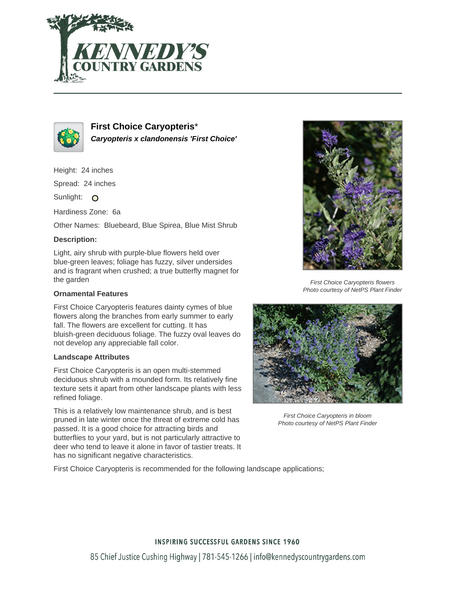



**First Choice Caryopteris**\* **Caryopteris x clandonensis 'First Choice'**

Height: 24 inches

Spread: 24 inches

Sunlight: O

Hardiness Zone: 6a

Other Names: Bluebeard, Blue Spirea, Blue Mist Shrub

## **Description:**

Light, airy shrub with purple-blue flowers held over blue-green leaves; foliage has fuzzy, silver undersides and is fragrant when crushed; a true butterfly magnet for the garden

### **Ornamental Features**

First Choice Caryopteris features dainty cymes of blue flowers along the branches from early summer to early fall. The flowers are excellent for cutting. It has bluish-green deciduous foliage. The fuzzy oval leaves do not develop any appreciable fall color.

#### **Landscape Attributes**

First Choice Caryopteris is an open multi-stemmed deciduous shrub with a mounded form. Its relatively fine texture sets it apart from other landscape plants with less refined foliage.

This is a relatively low maintenance shrub, and is best pruned in late winter once the threat of extreme cold has passed. It is a good choice for attracting birds and butterflies to your yard, but is not particularly attractive to deer who tend to leave it alone in favor of tastier treats. It has no significant negative characteristics.



First Choice Caryopteris flowers Photo courtesy of NetPS Plant Finder



First Choice Caryopteris in bloom Photo courtesy of NetPS Plant Finder

First Choice Caryopteris is recommended for the following landscape applications;

## **INSPIRING SUCCESSFUL GARDENS SINCE 1960**

85 Chief Justice Cushing Highway | 781-545-1266 | info@kennedyscountrygardens.com